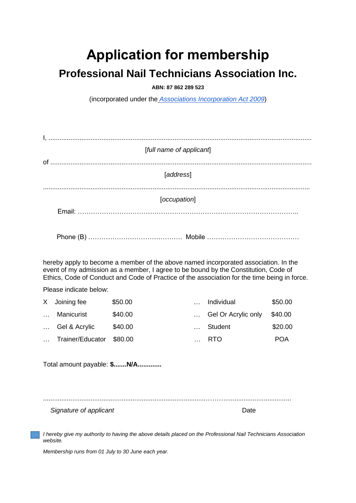## **Application for membership**

## **Professional Nail Technicians Association Inc.**

**ABN: 87 862 289 523**

(incorporated under the *[Associations Incorporation Act 2009](http://www.legislation.nsw.gov.au/xref/inforce/?xref=Type%3Dact%20AND%20Year%3D2009%20AND%20no%3D7&nohits=y)*)

| [full name of applicant] |  |  |  |  |  |
|--------------------------|--|--|--|--|--|
| [address]                |  |  |  |  |  |
|                          |  |  |  |  |  |
| [occupation]             |  |  |  |  |  |
|                          |  |  |  |  |  |
|                          |  |  |  |  |  |
|                          |  |  |  |  |  |

hereby apply to become a member of the above named incorporated association. In the event of my admission as a member, I agree to be bound by the Constitution, Code of Ethics, Code of Conduct and Code of Practice of the association for the time being in force.

Please indicate below:

|          | X Joining fee    | \$50.00 | Individual          | \$50.00    |
|----------|------------------|---------|---------------------|------------|
| $\cdots$ | Manicurist       | \$40.00 | Gel Or Acrylic only | \$40.00    |
|          | Gel & Acrylic    | \$40.00 | Student             | \$20.00    |
|          | Trainer/Educator | \$80.00 | RTO                 | <b>POA</b> |

Total amount payable: **\$.......N/A.............**

.........................................................................................………....................................

**Signature of applicant** Date **Date** Date **Date** 

*I hereby give my authority to having the above details placed on the Professional Nail Technicians Association website.*

*Membership runs from 01 July to 30 June each year.*